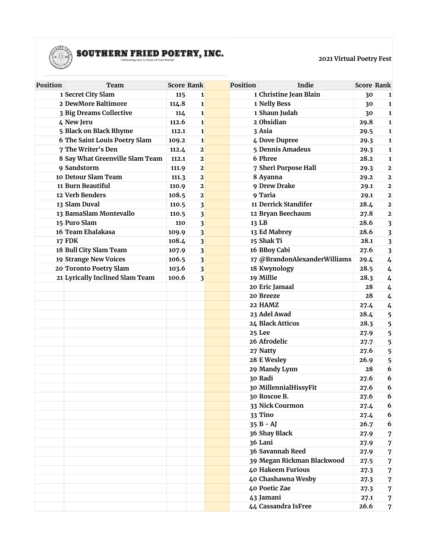

## $\textbf{SOUTHERN FRIED POFFRY, INC.}$

**2021 Virtual Poetry Fest**

| Position | Team                            | <b>Score Rank</b> |              | <b>Position</b> | Indie                        |      | <b>Score Rank</b>       |
|----------|---------------------------------|-------------------|--------------|-----------------|------------------------------|------|-------------------------|
|          | 1 Secret City Slam              | 115               | 1            |                 | 1 Christine Jean Blain       | 30   | 1                       |
|          | 2 DewMore Baltimore             | 114.8             | $\mathbf{1}$ |                 | 1 Nelly Bess                 | 30   | $\mathbf{1}$            |
|          | 3 Big Dreams Collective         | 114               | $\mathbf{1}$ |                 | 1 Shaun Judah                | 30   | $\mathbf{1}$            |
|          | 4 New Jeru                      | 112.6             | 1            |                 | 2 Obsidian                   | 29.8 | $\mathbf{1}$            |
|          | 5 Black on Black Rhyme          | 112.1             | 1            |                 | 3 Asia                       | 29.5 | $\mathbf{1}$            |
|          | 6 The Saint Louis Poetry Slam   | 109.2             | $\mathbf{1}$ |                 | 4 Dove Dupree                | 29.3 | $\mathbf{1}$            |
|          | 7 The Writer's Den              | 112.4             | $\mathbf{2}$ |                 | 5 Dennis Amadeus             | 29.3 | $\mathbf{1}$            |
|          | 8 Say What Greenville Slam Team | 112.1             | $\mathbf{2}$ |                 | 6 Phree                      | 28.2 | $\mathbf{1}$            |
|          | 9 Sandstorm                     | 111.9             | $\mathbf{2}$ |                 | 7 Sheri Purpose Hall         | 29.3 | $\mathbf{2}$            |
|          | 10 Detour Slam Team             | 111.3             | $\mathbf{2}$ |                 | 8 Ayanna                     | 29.2 | $\mathbf{2}$            |
|          | 11 Burn Beautiful               | 110.9             | $\mathbf{2}$ |                 | 9 Drew Drake                 | 29.1 | $\mathbf{2}$            |
|          | 12 Verb Benders                 | 108.5             | $\mathbf{2}$ |                 | 9 Taria                      | 29.1 | $\bf 2$                 |
|          | 13 Slam Duval                   | 110.5             | 3            |                 | 11 Derrick Standifer         | 28.4 | $\bf 2$                 |
|          | 13 BamaSlam Montevallo          | 110.5             | 3            |                 | 12 Bryan Beechaum            | 27.8 | $\mathbf{2}$            |
|          | 15 Puro Slam                    | 110               | 3            |                 | 13 LB                        | 28.6 | 3                       |
|          | 16 Team Ehalakasa               | 109.9             | 3            |                 | 13 Ed Mabrey                 | 28.6 | $\overline{\mathbf{3}}$ |
|          | <b>17 FDK</b>                   | 108.4             | 3            |                 | 15 Shak Ti                   | 28.1 | 3                       |
|          | 18 Bull City Slam Team          | 107.9             | 3            |                 | 16 BBoy Cabi                 | 27.6 | 3                       |
|          | 19 Strange New Voices           | 106.5             | 3            |                 | 17 @BrandonAlexanderWilliams | 29.4 | 4                       |
|          | 20 Toronto Poetry Slam          | 103.6             | 3            |                 | 18 Kwynology                 | 28.5 | 4                       |
|          | 21 Lyrically Inclined Slam Team | 100.6             | 3            |                 | 19 Millie                    | 28.3 | 4                       |
|          |                                 |                   |              |                 | 20 Eric Jamaal               | 28   | 4                       |
|          |                                 |                   |              |                 | 20 Breeze                    | 28   | 4                       |
|          |                                 |                   |              |                 | 22 HAMZ                      | 27.4 | 4                       |
|          |                                 |                   |              |                 | 23 Adel Awad                 | 28.4 | 5                       |
|          |                                 |                   |              |                 | 24 Black Atticus             | 28.3 | 5                       |
|          |                                 |                   |              |                 | 25 Lee                       | 27.9 | 5                       |
|          |                                 |                   |              |                 | 26 Afrodelic                 | 27.7 | 5                       |
|          |                                 |                   |              |                 | 27 Natty                     | 27.6 | 5                       |
|          |                                 |                   |              |                 | 28 E Wesley                  | 26.9 | 5                       |
|          |                                 |                   |              |                 | 29 Mandy Lynn                | 28   | 6                       |
|          |                                 |                   |              |                 | 30 Radi                      | 27.6 | 6                       |
|          |                                 |                   |              |                 | 30 MillennialHissyFit        | 27.6 | 6                       |
|          |                                 |                   |              |                 | 30 Roscoe B.                 | 27.6 | 6                       |
|          |                                 |                   |              |                 | 33 Nick Courmon              | 27.4 | 6                       |
|          |                                 |                   |              |                 | 33 Tino                      | 27.4 | 6                       |
|          |                                 |                   |              |                 | $35B - AJ$                   | 26.7 | 6                       |
|          |                                 |                   |              |                 | 36 Shay Black                | 27.9 | 7                       |
|          |                                 |                   |              |                 | 36 Lani                      | 27.9 | 7                       |
|          |                                 |                   |              |                 | 36 Savannah Reed             | 27.9 | 7                       |
|          |                                 |                   |              |                 | 39 Megan Rickman Blackwood   | 27.5 | 7                       |
|          |                                 |                   |              |                 | 40 Hakeem Furious            | 27.3 | 7                       |
|          |                                 |                   |              |                 | 40 Chashawna Wesby           | 27.3 | $\boldsymbol{7}$        |
|          |                                 |                   |              |                 | 40 Poetic Zae                | 27.3 | 7                       |
|          |                                 |                   |              |                 | 43 Jamani                    | 27.1 | 7                       |
|          |                                 |                   |              |                 | 44 Cassandra IsFree          | 26.6 | $\overline{7}$          |